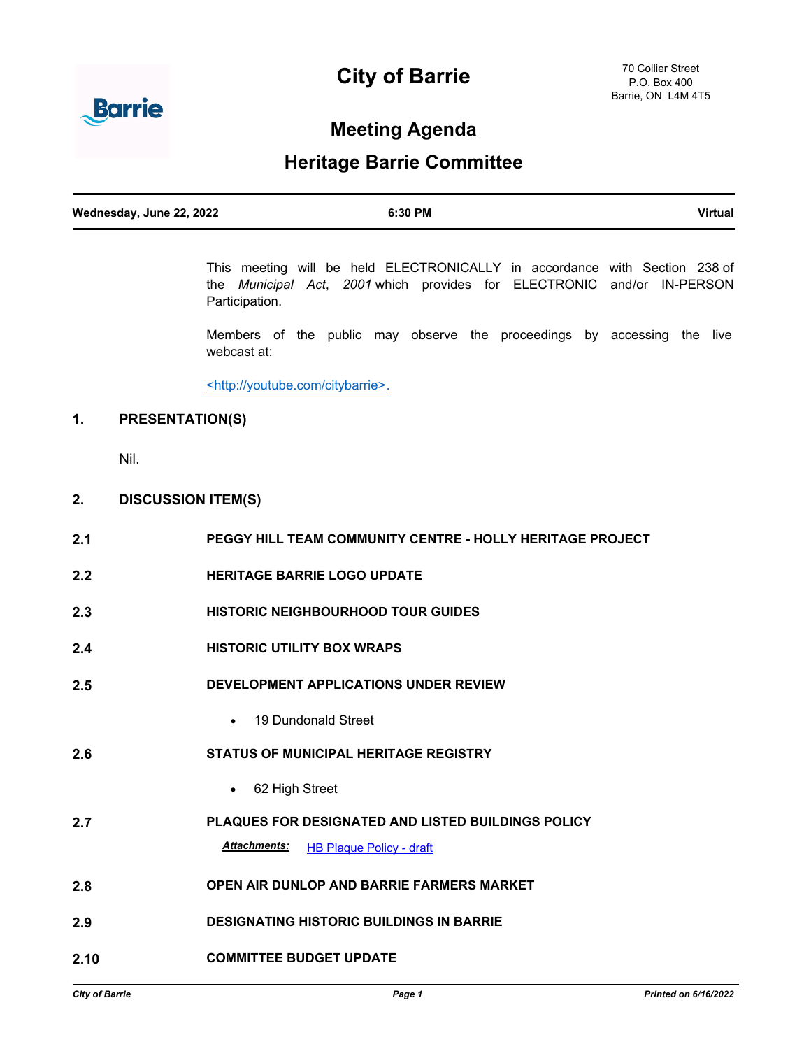# **City of Barrie**



## **Meeting Agenda**

## **Heritage Barrie Committee**

| Wednesday, June 22, 2022 | 6:30 PM | <b>Virtual</b> |
|--------------------------|---------|----------------|

This meeting will be held ELECTRONICALLY in accordance with Section 238 of the *Municipal Act*, *2001* which provides for ELECTRONIC and/or IN-PERSON Participation.

Members of the public may observe the proceedings by accessing the live webcast at:

<http://youtube.com/citybarrie>.

## **1. PRESENTATION(S)**

Nil.

### **2. DISCUSSION ITEM(S)**

| 2.1  | <b>PEGGY HILL TEAM COMMUNITY CENTRE - HOLLY HERITAGE PROJECT</b> |
|------|------------------------------------------------------------------|
| 2.2  | <b>HERITAGE BARRIE LOGO UPDATE</b>                               |
| 2.3  | <b>HISTORIC NEIGHBOURHOOD TOUR GUIDES</b>                        |
| 2.4  | <b>HISTORIC UTILITY BOX WRAPS</b>                                |
| 2.5  | DEVELOPMENT APPLICATIONS UNDER REVIEW                            |
|      | • 19 Dundonald Street                                            |
| 2.6  | <b>STATUS OF MUNICIPAL HERITAGE REGISTRY</b>                     |
|      | 62 High Street                                                   |
| 2.7  | PLAQUES FOR DESIGNATED AND LISTED BUILDINGS POLICY               |
|      | <b>Attachments:</b><br><b>HB Plaque Policy - draft</b>           |
| 2.8  | <b>OPEN AIR DUNLOP AND BARRIE FARMERS MARKET</b>                 |
| 2.9  | <b>DESIGNATING HISTORIC BUILDINGS IN BARRIE</b>                  |
| 2.10 | <b>COMMITTEE BUDGET UPDATE</b>                                   |